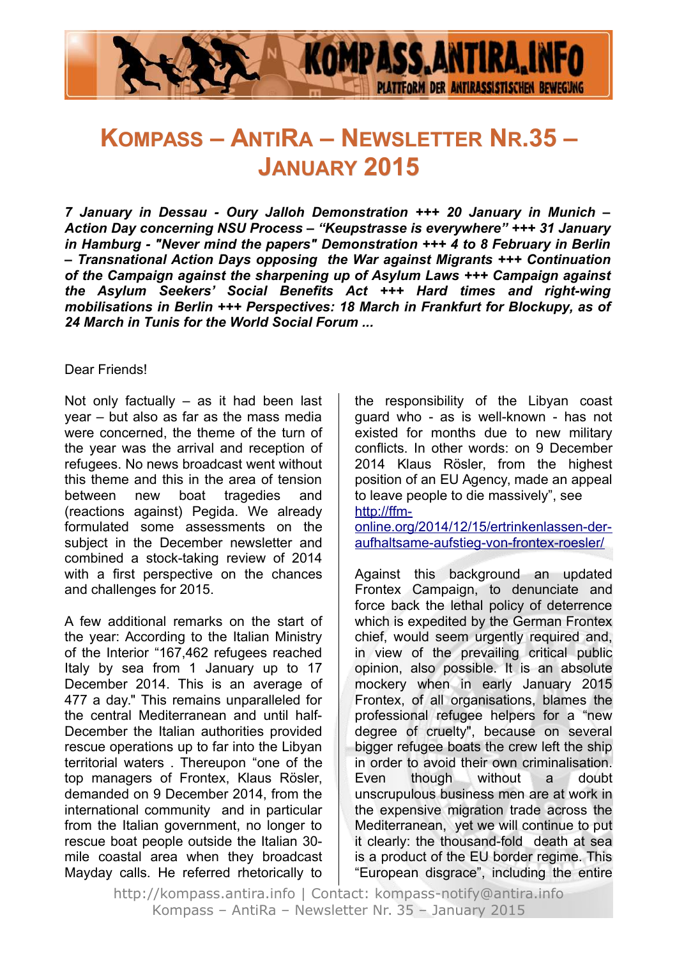

# **KOMPASS – ANTIRA – NEWSLETTER NR.35 – JANUARY 2015**

*7 January in Dessau - Oury Jalloh Demonstration +++ 20 January in Munich – Action Day concerning NSU Process – "Keupstrasse is everywhere" +++ 31 January in Hamburg - "Never mind the papers" Demonstration +++ 4 to 8 February in Berlin – Transnational Action Days opposing the War against Migrants +++ Continuation of the Campaign against the sharpening up of Asylum Laws +++ Campaign against the Asylum Seekers' Social Benefits Act +++ Hard times and right-wing mobilisations in Berlin +++ Perspectives: 18 March in Frankfurt for Blockupy, as of 24 March in Tunis for the World Social Forum ...*

#### Dear Friends!

Not only factually  $-$  as it had been last year – but also as far as the mass media were concerned, the theme of the turn of the year was the arrival and reception of refugees. No news broadcast went without this theme and this in the area of tension between new boat tragedies and (reactions against) Pegida. We already formulated some assessments on the subject in the December newsletter and combined a stock-taking review of 2014 with a first perspective on the chances and challenges for 2015.

A few additional remarks on the start of the year: According to the Italian Ministry of the Interior "167,462 refugees reached Italy by sea from 1 January up to 17 December 2014. This is an average of 477 a day." This remains unparalleled for the central Mediterranean and until half-December the Italian authorities provided rescue operations up to far into the Libyan territorial waters . Thereupon "one of the top managers of Frontex, Klaus Rösler, demanded on 9 December 2014, from the international community and in particular from the Italian government, no longer to rescue boat people outside the Italian 30 mile coastal area when they broadcast Mayday calls. He referred rhetorically to the responsibility of the Libyan coast guard who - as is well-known - has not existed for months due to new military conflicts. In other words: on 9 December 2014 Klaus Rösler, from the highest position of an EU Agency, made an appeal to leave people to die massively", see [http://ffm-](http://ffm-online.org/2014/12/15/ertrinkenlassen-der-aufhaltsame-aufstieg-von-frontex-roesler/)

[online.org/2014/12/15/ertrinkenlassen-der](http://ffm-online.org/2014/12/15/ertrinkenlassen-der-aufhaltsame-aufstieg-von-frontex-roesler/)[aufhaltsame-aufstieg-von-frontex-roesler/](http://ffm-online.org/2014/12/15/ertrinkenlassen-der-aufhaltsame-aufstieg-von-frontex-roesler/)

Against this background an updated Frontex Campaign, to denunciate and force back the lethal policy of deterrence which is expedited by the German Frontex chief, would seem urgently required and, in view of the prevailing critical public opinion, also possible. It is an absolute mockery when in early January 2015 Frontex, of all organisations, blames the professional refugee helpers for a "new degree of cruelty", because on several bigger refugee boats the crew left the ship in order to avoid their own criminalisation. Even though without a doubt unscrupulous business men are at work in the expensive migration trade across the Mediterranean, yet we will continue to put it clearly: the thousand-fold death at sea is a product of the EU border regime. This "European disgrace", including the entire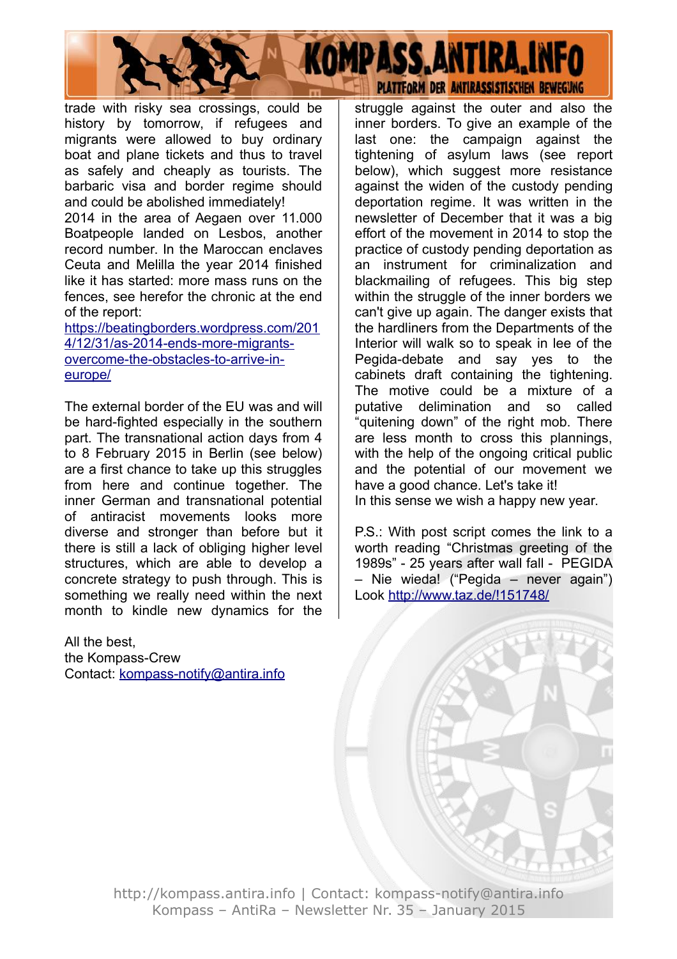

trade with risky sea crossings, could be history by tomorrow, if refugees and migrants were allowed to buy ordinary boat and plane tickets and thus to travel as safely and cheaply as tourists. The barbaric visa and border regime should and could be abolished immediately!

2014 in the area of Aegaen over 11.000 Boatpeople landed on Lesbos, another record number. In the Maroccan enclaves Ceuta and Melilla the year 2014 finished like it has started: more mass runs on the fences, see herefor the chronic at the end of the report:

[https://beatingborders.wordpress.com/201](https://beatingborders.wordpress.com/2014/12/31/as-2014-ends-more-migrants-overcome-the-obstacles-to-arrive-in-europe/) [4/12/31/as-2014-ends-more-migrants](https://beatingborders.wordpress.com/2014/12/31/as-2014-ends-more-migrants-overcome-the-obstacles-to-arrive-in-europe/)overcome-the-obstacles-to-arrive-in[europe/](https://beatingborders.wordpress.com/2014/12/31/as-2014-ends-more-migrants-overcome-the-obstacles-to-arrive-in-europe/)

The external border of the EU was and will be hard-fighted especially in the southern part. The transnational action days from 4 to 8 February 2015 in Berlin (see below) are a first chance to take up this struggles from here and continue together. The inner German and transnational potential of antiracist movements looks more diverse and stronger than before but it there is still a lack of obliging higher level structures, which are able to develop a concrete strategy to push through. This is something we really need within the next month to kindle new dynamics for the

All the best, the Kompass-Crew Contact: [kompass-notify@antira.inf](mailto:kompass-notify@antira.info)o struggle against the outer and also the inner borders. To give an example of the last one: the campaign against the tightening of asylum laws (see report below), which suggest more resistance against the widen of the custody pending deportation regime. It was written in the newsletter of December that it was a big effort of the movement in 2014 to stop the practice of custody pending deportation as an instrument for criminalization and blackmailing of refugees. This big step within the struggle of the inner borders we can't give up again. The danger exists that the hardliners from the Departments of the Interior will walk so to speak in lee of the Pegida-debate and say yes to the cabinets draft containing the tightening. The motive could be a mixture of a putative delimination and so called "quitening down" of the right mob. There are less month to cross this plannings, with the help of the ongoing critical public and the potential of our movement we have a good chance. Let's take it! In this sense we wish a happy new year.

P.S.: With post script comes the link to a worth reading "Christmas greeting of the 1989s" - 25 years after wall fall - PEGIDA – Nie wieda! ("Pegida – never again") Look<http://www.taz.de/!151748/>

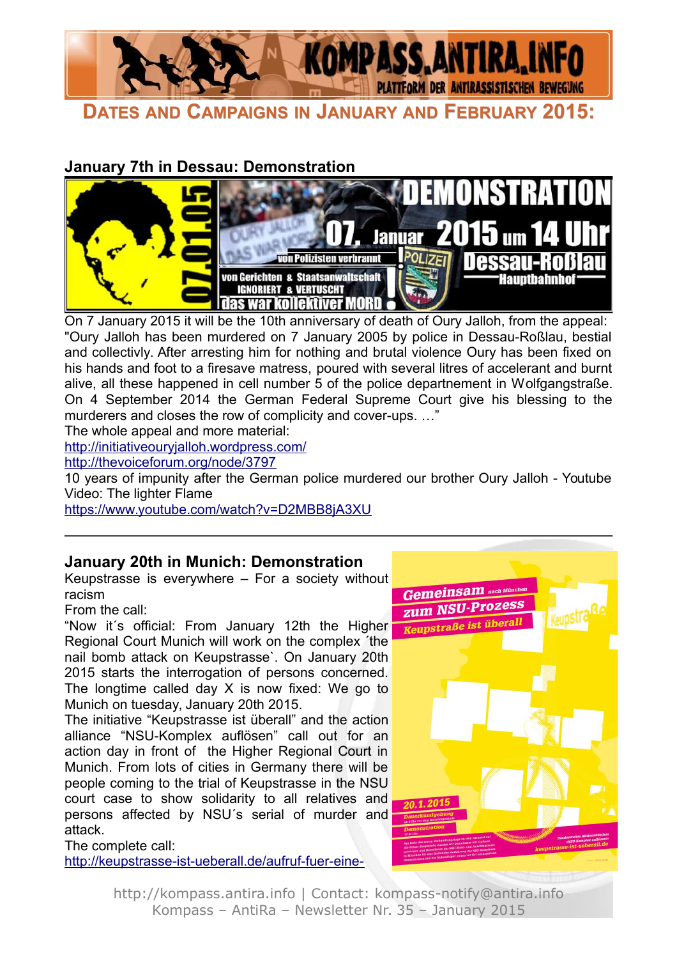

**DATES AND CAMPAIGNS IN JANUARY AND FEBRUARY 2015:**

## **January 7th in Dessau: Demonstration**



On 7 January 2015 it will be the 10th anniversary of death of Oury Jalloh, from the appeal: "Oury Jalloh has been murdered on 7 January 2005 by police in Dessau-Roßlau, bestial and collectivly. After arresting him for nothing and brutal violence Oury has been fixed on his hands and foot to a firesave matress, poured with several litres of accelerant and burnt alive, all these happened in cell number 5 of the police departnement in Wolfgangstraße. On 4 September 2014 the German Federal Supreme Court give his blessing to the murderers and closes the row of complicity and cover-ups. …"

The whole appeal and more material:

<http://initiativeouryjalloh.wordpress.com/>

<http://thevoiceforum.org/node/3797>

10 years of impunity after the German police murdered our brother Oury Jalloh - Youtube Video: The lighter Flame

<https://www.youtube.com/watch?v=D2MBB8jA3XU>

#### **January 20th in Munich: Demonstration**

Keupstrasse is everywhere – For a society without racism

From the call:

"Now it´s official: From January 12th the Higher Regional Court Munich will work on the complex ´the nail bomb attack on Keupstrasse`. On January 20th 2015 starts the interrogation of persons concerned. The longtime called day X is now fixed: We go to Munich on tuesday, January 20th 2015.

The initiative "Keupstrasse ist überall" and the action alliance "NSU-Komplex auflösen" call out for an action day in front of the Higher Regional Court in Munich. From lots of cities in Germany there will be people coming to the trial of Keupstrasse in the NSU court case to show solidarity to all relatives and persons affected by NSU´s serial of murder and attack.

The complete call:

[http://keupstrasse-ist-ueberall.de/aufruf-fuer-eine-](http://keupstrasse-ist-ueberall.de/aufruf-fuer-eine-gesellschaft-ohne-rassismus-20-01-2015-muenchen/)

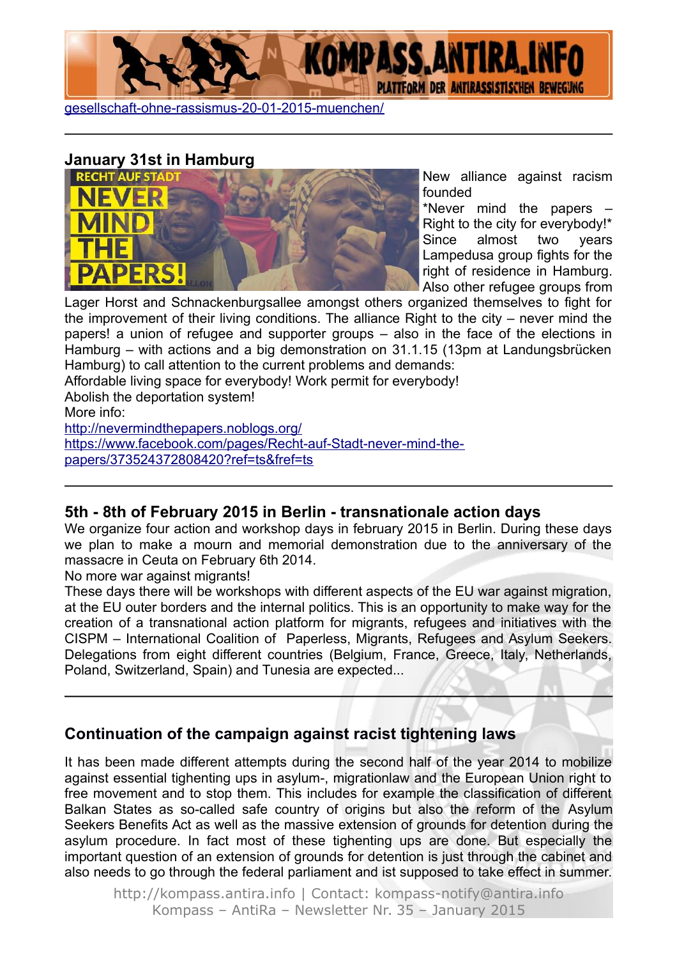





New alliance against racism founded

\*Never mind the papers – Right to the city for everybody!\* Since almost two years Lampedusa group fights for the right of residence in Hamburg. Also other refugee groups from

Lager Horst and Schnackenburgsallee amongst others organized themselves to fight for the improvement of their living conditions. The alliance Right to the city – never mind the papers! a union of refugee and supporter groups – also in the face of the elections in Hamburg – with actions and a big demonstration on 31.1.15 (13pm at Landungsbrücken Hamburg) to call attention to the current problems and demands:

Affordable living space for everybody! Work permit for everybody!

Abolish the deportation system!

More info:

<http://nevermindthepapers.noblogs.org/> [https://www.facebook.com/pages/Recht-auf-Stadt-never-mind-the](https://www.facebook.com/pages/Recht-auf-Stadt-never-mind-the-papers/373524372808420?ref=ts&fref=ts)[papers/373524372808420?ref=ts&fref=ts](https://www.facebook.com/pages/Recht-auf-Stadt-never-mind-the-papers/373524372808420?ref=ts&fref=ts)

#### **5th - 8th of February 2015 in Berlin - transnationale action days**

We organize four action and workshop days in february 2015 in Berlin. During these days we plan to make a mourn and memorial demonstration due to the anniversary of the massacre in Ceuta on February 6th 2014.

No more war against migrants!

These days there will be workshops with different aspects of the EU war against migration, at the EU outer borders and the internal politics. This is an opportunity to make way for the creation of a transnational action platform for migrants, refugees and initiatives with the CISPM – International Coalition of Paperless, Migrants, Refugees and Asylum Seekers. Delegations from eight different countries (Belgium, France, Greece, Italy, Netherlands, Poland, Switzerland, Spain) and Tunesia are expected...

## **Continuation of the campaign against racist tightening laws**

It has been made different attempts during the second half of the year 2014 to mobilize against essential tighenting ups in asylum-, migrationlaw and the European Union right to free movement and to stop them. This includes for example the classification of different Balkan States as so-called safe country of origins but also the reform of the Asylum Seekers Benefits Act as well as the massive extension of grounds for detention during the asylum procedure. In fact most of these tighenting ups are done. But especially the important question of an extension of grounds for detention is just through the cabinet and also needs to go through the federal parliament and ist supposed to take effect in summer.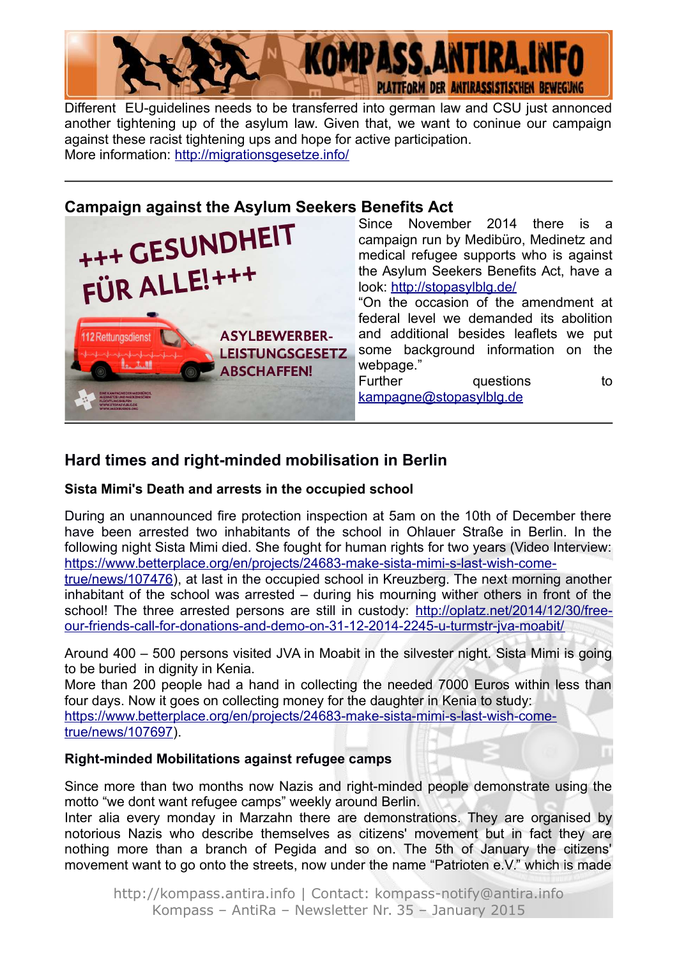

Different EU-guidelines needs to be transferred into german law and CSU just annonced another tightening up of the asylum law. Given that, we want to coninue our campaign against these racist tightening ups and hope for active participation. More information: <http://migrationsgesetze.info/>

#### **Campaign against the Asylum Seekers Benefits Act**

| +++ GESUNDHEIT<br>FÜR ALLE!+++                                                             | Since November 2014 there is a<br>campaign run by Medibüro, Medinetz and<br>medical refugee supports who is against<br>the Asylum Seekers Benefits Act, have a                                                                                                        |
|--------------------------------------------------------------------------------------------|-----------------------------------------------------------------------------------------------------------------------------------------------------------------------------------------------------------------------------------------------------------------------|
| <b>ASYLBEWERBER-</b><br>112 Rettungsdienst<br><b>LEISTUNGSGESETZ</b><br><b>ABSCHAFFEN!</b> | look: http://stopasylblg.de/<br>"On the occasion of the amendment at<br>federal level we demanded its abolition<br>and additional besides leaflets we put<br>some background information on the<br>webpage."<br>Further<br>questions<br>to<br>kampagne@stopasylblg.de |

## **Hard times and right-minded mobilisation in Berlin**

#### **Sista Mimi's Death and arrests in the occupied school**

During an unannounced fire protection inspection at 5am on the 10th of December there have been arrested two inhabitants of the school in Ohlauer Straße in Berlin. In the following night Sista Mimi died. She fought for human rights for two years (Video Interview: [https://www.betterplace.org/en/projects/24683-make-sista-mimi-s-last-wish-come-](https://www.betterplace.org/en/projects/24683-make-sista-mimi-s-last-wish-come-true/news/107476)

[true/news/107476\)](https://www.betterplace.org/en/projects/24683-make-sista-mimi-s-last-wish-come-true/news/107476), at last in the occupied school in Kreuzberg. The next morning another inhabitant of the school was arrested – during his mourning wither others in front of the school! The three arrested persons are still in custody: [http://oplatz.net/2014/12/30/free](http://oplatz.net/2014/12/30/free-our-friends-call-for-donations-and-demo-on-31-12-2014-2245-u-turmstr-jva-moabit/)[our-friends-call-for-donations-and-demo-on-31-12-2014-2245-u-turmstr-jva-moabit/](http://oplatz.net/2014/12/30/free-our-friends-call-for-donations-and-demo-on-31-12-2014-2245-u-turmstr-jva-moabit/)

Around 400 – 500 persons visited JVA in Moabit in the silvester night. Sista Mimi is going to be buried in dignity in Kenia.

More than 200 people had a hand in collecting the needed 7000 Euros within less than four days. Now it goes on collecting money for the daughter in Kenia to study: [https://www.betterplace.org/en/projects/24683-make-sista-mimi-s-last-wish-come](https://www.betterplace.org/en/projects/24683-make-sista-mimi-s-last-wish-come-true/news/107697)[true/news/107697\)](https://www.betterplace.org/en/projects/24683-make-sista-mimi-s-last-wish-come-true/news/107697).

#### **Right-minded Mobilitations against refugee camps**

Since more than two months now Nazis and right-minded people demonstrate using the motto "we dont want refugee camps" weekly around Berlin.

Inter alia every monday in Marzahn there are demonstrations. They are organised by notorious Nazis who describe themselves as citizens' movement but in fact they are nothing more than a branch of Pegida and so on. The 5th of January the citizens' movement want to go onto the streets, now under the name "Patrioten e.V." which is made